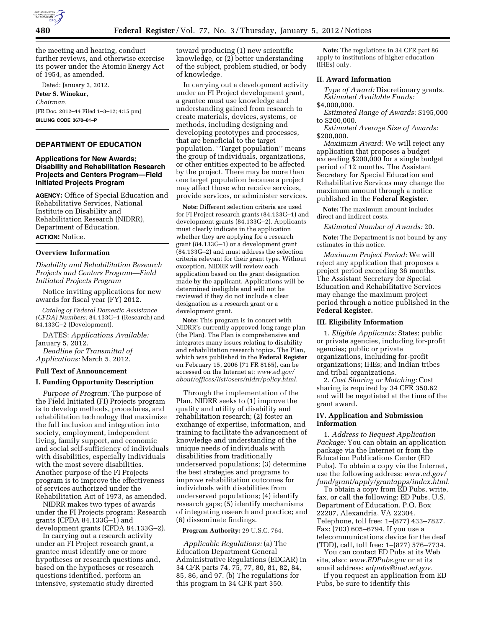

the meeting and hearing, conduct further reviews, and otherwise exercise its power under the Atomic Energy Act of 1954, as amended.

Dated: January 3, 2012. **Peter S. Winokur,**  *Chairman.*  [FR Doc. 2012–44 Filed 1–3–12; 4:15 pm] **BILLING CODE 3670–01–P** 

# **DEPARTMENT OF EDUCATION**

# **Applications for New Awards; Disability and Rehabilitation Research Projects and Centers Program—Field Initiated Projects Program**

**AGENCY:** Office of Special Education and Rehabilitative Services, National Institute on Disability and Rehabilitation Research (NIDRR), Department of Education. **ACTION:** Notice.

### **Overview Information**

*Disability and Rehabilitation Research Projects and Centers Program—Field Initiated Projects Program* 

Notice inviting applications for new awards for fiscal year (FY) 2012.

*Catalog of Federal Domestic Assistance (CFDA) Numbers:* 84.133G–1 (Research) and 84.133G–2 (Development).

DATES: *Applications Available:*  January 5, 2012.

*Deadline for Transmittal of Applications:* March 5, 2012.

#### **Full Text of Announcement**

#### **I. Funding Opportunity Description**

*Purpose of Program:* The purpose of the Field Initiated (FI) Projects program is to develop methods, procedures, and rehabilitation technology that maximize the full inclusion and integration into society, employment, independent living, family support, and economic and social self-sufficiency of individuals with disabilities, especially individuals with the most severe disabilities. Another purpose of the FI Projects program is to improve the effectiveness of services authorized under the Rehabilitation Act of 1973, as amended.

NIDRR makes two types of awards under the FI Projects program: Research grants (CFDA 84.133G–1) and development grants (CFDA 84.133G–2).

In carrying out a research activity under an FI Project research grant, a grantee must identify one or more hypotheses or research questions and, based on the hypotheses or research questions identified, perform an intensive, systematic study directed

toward producing (1) new scientific knowledge, or (2) better understanding of the subject, problem studied, or body of knowledge.

In carrying out a development activity under an FI Project development grant, a grantee must use knowledge and understanding gained from research to create materials, devices, systems, or methods, including designing and developing prototypes and processes, that are beneficial to the target population. ''Target population'' means the group of individuals, organizations, or other entities expected to be affected by the project. There may be more than one target population because a project may affect those who receive services, provide services, or administer services.

**Note:** Different selection criteria are used for FI Project research grants (84.133G–1) and development grants (84.133G–2). Applicants must clearly indicate in the application whether they are applying for a research grant (84.133G–1) or a development grant (84.133G–2) and must address the selection criteria relevant for their grant type. Without exception, NIDRR will review each application based on the grant designation made by the applicant. Applications will be determined ineligible and will not be reviewed if they do not include a clear designation as a research grant or a development grant.

**Note:** This program is in concert with NIDRR's currently approved long range plan (the Plan). The Plan is comprehensive and integrates many issues relating to disability and rehabilitation research topics. The Plan, which was published in the **Federal Register**  on February 15, 2006 (71 FR 8165), can be accessed on the Internet at: *[www.ed.gov/](http://www.ed.gov/about/offices/list/osers/nidrr/policy.html) [about/offices/list/osers/nidrr/policy.html.](http://www.ed.gov/about/offices/list/osers/nidrr/policy.html)* 

Through the implementation of the Plan, NIDRR seeks to (1) improve the quality and utility of disability and rehabilitation research; (2) foster an exchange of expertise, information, and training to facilitate the advancement of knowledge and understanding of the unique needs of individuals with disabilities from traditionally underserved populations; (3) determine the best strategies and programs to improve rehabilitation outcomes for individuals with disabilities from underserved populations; (4) identify research gaps; (5) identify mechanisms of integrating research and practice; and (6) disseminate findings.

# **Program Authority:** 29 U.S.C. 764.

*Applicable Regulations:* (a) The Education Department General Administrative Regulations (EDGAR) in 34 CFR parts 74, 75, 77, 80, 81, 82, 84, 85, 86, and 97. (b) The regulations for this program in 34 CFR part 350.

**Note:** The regulations in 34 CFR part 86 apply to institutions of higher education (IHEs) only.

## **II. Award Information**

*Type of Award:* Discretionary grants. *Estimated Available Funds:*  \$4,000,000.

*Estimated Range of Awards:* \$195,000 to \$200,000.

*Estimated Average Size of Awards:*  \$200,000.

*Maximum Award:* We will reject any application that proposes a budget exceeding \$200,000 for a single budget period of 12 months. The Assistant Secretary for Special Education and Rehabilitative Services may change the maximum amount through a notice published in the **Federal Register.** 

**Note:** The maximum amount includes direct and indirect costs.

*Estimated Number of Awards:* 20.

**Note:** The Department is not bound by any estimates in this notice.

*Maximum Project Period:* We will reject any application that proposes a project period exceeding 36 months. The Assistant Secretary for Special Education and Rehabilitative Services may change the maximum project period through a notice published in the **Federal Register.** 

#### **III. Eligibility Information**

1. *Eligible Applicants:* States; public or private agencies, including for-profit agencies; public or private organizations, including for-profit organizations; IHEs; and Indian tribes and tribal organizations.

2. *Cost Sharing or Matching:* Cost sharing is required by 34 CFR 350.62 and will be negotiated at the time of the grant award.

# **IV. Application and Submission Information**

1. *Address to Request Application Package:* You can obtain an application package via the Internet or from the Education Publications Center (ED Pubs). To obtain a copy via the Internet, use the following address: *[www.ed.gov/](http://www.ed.gov/fund/grant/apply/grantapps/index.html)  [fund/grant/apply/grantapps/index.html.](http://www.ed.gov/fund/grant/apply/grantapps/index.html)* 

To obtain a copy from ED Pubs, write, fax, or call the following: ED Pubs, U.S. Department of Education, P.O. Box 22207, Alexandria, VA 22304. Telephone, toll free: 1–(877) 433–7827. Fax: (703) 605–6794. If you use a telecommunications device for the deaf (TDD), call, toll free: 1–(877) 576–7734.

You can contact ED Pubs at its Web site, also: *[www.EDPubs.gov](http://www.EDPubs.gov)* or at its email address: *[edpubs@inet.ed.gov.](mailto:edpubs@inet.ed.gov)* 

If you request an application from ED Pubs, be sure to identify this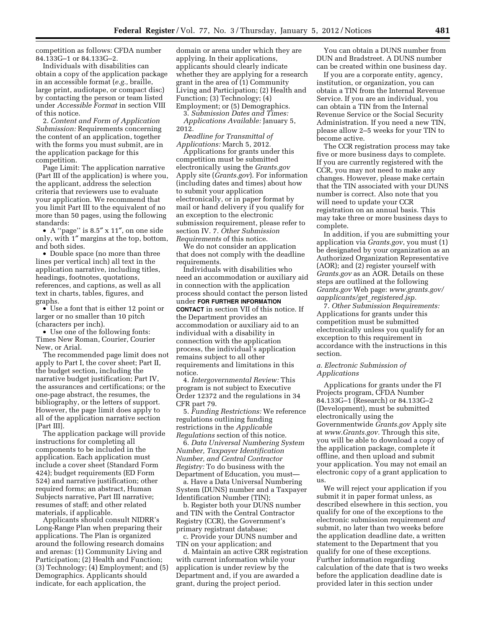competition as follows: CFDA number 84.133G–1 or 84.133G–2.

Individuals with disabilities can obtain a copy of the application package in an accessible format (*e.g.,* braille, large print, audiotape, or compact disc) by contacting the person or team listed under *Accessible Format* in section VIII of this notice.

2. *Content and Form of Application Submission:* Requirements concerning the content of an application, together with the forms you must submit, are in the application package for this competition.

Page Limit: The application narrative (Part III of the application) is where you, the applicant, address the selection criteria that reviewers use to evaluate your application. We recommend that you limit Part III to the equivalent of no more than 50 pages, using the following standards:

• A ''page'' is 8.5″ x 11″, on one side only, with 1″ margins at the top, bottom, and both sides.

• Double space (no more than three lines per vertical inch) all text in the application narrative, including titles, headings, footnotes, quotations, references, and captions, as well as all text in charts, tables, figures, and graphs.

• Use a font that is either 12 point or larger or no smaller than 10 pitch (characters per inch).

• Use one of the following fonts: Times New Roman, Courier, Courier New, or Arial.

The recommended page limit does not apply to Part I, the cover sheet; Part II, the budget section, including the narrative budget justification; Part IV, the assurances and certifications; or the one-page abstract, the resumes, the bibliography, or the letters of support. However, the page limit does apply to all of the application narrative section [Part III].

The application package will provide instructions for completing all components to be included in the application. Each application must include a cover sheet (Standard Form 424); budget requirements (ED Form 524) and narrative justification; other required forms; an abstract, Human Subjects narrative, Part III narrative; resumes of staff; and other related materials, if applicable.

Applicants should consult NIDRR's Long-Range Plan when preparing their applications. The Plan is organized around the following research domains and arenas: (1) Community Living and Participation; (2) Health and Function; (3) Technology; (4) Employment; and (5) Demographics. Applicants should indicate, for each application, the

domain or arena under which they are applying. In their applications, applicants should clearly indicate whether they are applying for a research grant in the area of (1) Community Living and Participation; (2) Health and Function; (3) Technology; (4) Employment; or (5) Demographics.

3. *Submission Dates and Times: Applications Available:* January 5, 2012.

*Deadline for Transmittal of Applications:* March 5, 2012.

Applications for grants under this competition must be submitted electronically using the *Grants.gov*  Apply site (*Grants.gov*). For information (including dates and times) about how to submit your application electronically, or in paper format by mail or hand delivery if you qualify for an exception to the electronic submission requirement, please refer to section IV. 7. *Other Submission Requirements* of this notice.

We do not consider an application that does not comply with the deadline requirements.

Individuals with disabilities who need an accommodation or auxiliary aid in connection with the application process should contact the person listed under **FOR FURTHER INFORMATION CONTACT** in section VII of this notice. If the Department provides an accommodation or auxiliary aid to an individual with a disability in connection with the application process, the individual's application remains subject to all other requirements and limitations in this notice.

4. *Intergovernmental Review:* This program is not subject to Executive Order 12372 and the regulations in 34 CFR part 79.

5. *Funding Restrictions:* We reference regulations outlining funding restrictions in the *Applicable Regulations* section of this notice.

6. *Data Universal Numbering System Number, Taxpayer Identification Number, and Central Contractor Registry:* To do business with the Department of Education, you must—

a. Have a Data Universal Numbering System (DUNS) number and a Taxpayer Identification Number (TIN);

b. Register both your DUNS number and TIN with the Central Contractor Registry (CCR), the Government's primary registrant database;

c. Provide your DUNS number and TIN on your application; and

d. Maintain an active CRR registration with current information while your application is under review by the Department and, if you are awarded a grant, during the project period.

You can obtain a DUNS number from DUN and Bradstreet. A DUNS number can be created within one business day.

If you are a corporate entity, agency, institution, or organization, you can obtain a TIN from the Internal Revenue Service. If you are an individual, you can obtain a TIN from the Internal Revenue Service or the Social Security Administration. If you need a new TIN, please allow 2–5 weeks for your TIN to become active.

The CCR registration process may take five or more business days to complete. If you are currently registered with the CCR, you may not need to make any changes. However, please make certain that the TIN associated with your DUNS number is correct. Also note that you will need to update your CCR registration on an annual basis. This may take three or more business days to complete.

In addition, if you are submitting your application via *Grants.gov*, you must (1) be designated by your organization as an Authorized Organization Representative (AOR); and (2) register yourself with *Grants.gov* as an AOR. Details on these steps are outlined at the following *Grants.gov* Web page: *[www.grants.gov/](http://www.grants.gov/aapplicants/get_registered.jsp) [aapplicants/get](http://www.grants.gov/aapplicants/get_registered.jsp)*\_*registered.jsp.* 

7. *Other Submission Requirements:*  Applications for grants under this competition must be submitted electronically unless you qualify for an exception to this requirement in accordance with the instructions in this section.

# *a. Electronic Submission of Applications*

Applications for grants under the FI Projects program, CFDA Number 84.133G–1 (Research) or 84.133G–2 (Development), must be submitted electronically using the Governmentwide *Grants.gov* Apply site at *[www.Grants.gov.](http://www.Grants.gov)* Through this site, you will be able to download a copy of the application package, complete it offline, and then upload and submit your application. You may not email an electronic copy of a grant application to us.

We will reject your application if you submit it in paper format unless, as described elsewhere in this section, you qualify for one of the exceptions to the electronic submission requirement *and*  submit, no later than two weeks before the application deadline date, a written statement to the Department that you qualify for one of these exceptions. Further information regarding calculation of the date that is two weeks before the application deadline date is provided later in this section under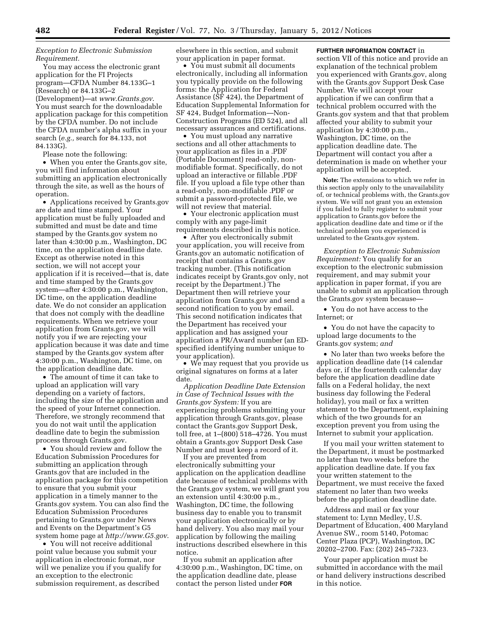# *Exception to Electronic Submission Requirement.*

You may access the electronic grant application for the FI Projects program—CFDA Number 84.133G–1 (Research) or 84.133G–2 (Development)—at *[www.Grants.gov](http://www.Grants.gov)*. You must search for the downloadable application package for this competition by the CFDA number. Do not include the CFDA number's alpha suffix in your search (*e.g.,* search for 84.133, not 84.133G).

Please note the following:

• When you enter the Grants.gov site, you will find information about submitting an application electronically through the site, as well as the hours of operation.

• Applications received by Grants.gov are date and time stamped. Your application must be fully uploaded and submitted and must be date and time stamped by the Grants.gov system no later than 4:30:00 p.m., Washington, DC time, on the application deadline date. Except as otherwise noted in this section, we will not accept your application if it is received—that is, date and time stamped by the Grants.gov system—after 4:30:00 p.m., Washington, DC time, on the application deadline date. We do not consider an application that does not comply with the deadline requirements. When we retrieve your application from Grants.gov, we will notify you if we are rejecting your application because it was date and time stamped by the Grants.gov system after 4:30:00 p.m., Washington, DC time, on the application deadline date.

• The amount of time it can take to upload an application will vary depending on a variety of factors, including the size of the application and the speed of your Internet connection. Therefore, we strongly recommend that you do not wait until the application deadline date to begin the submission process through Grants.gov.

• You should review and follow the Education Submission Procedures for submitting an application through Grants.gov that are included in the application package for this competition to ensure that you submit your application in a timely manner to the Grants.gov system. You can also find the Education Submission Procedures pertaining to Grants.gov under News and Events on the Department's G5 system home page at *<http://www.G5.gov>*.

• You will not receive additional point value because you submit your application in electronic format, nor will we penalize you if you qualify for an exception to the electronic submission requirement, as described

elsewhere in this section, and submit your application in paper format.

• You must submit all documents electronically, including all information you typically provide on the following forms: the Application for Federal Assistance (SF 424), the Department of Education Supplemental Information for SF 424, Budget Information—Non-Construction Programs (ED 524), and all necessary assurances and certifications.

• You must upload any narrative sections and all other attachments to your application as files in a .PDF (Portable Document) read-only, nonmodifiable format. Specifically, do not upload an interactive or fillable .PDF file. If you upload a file type other than a read-only, non-modifiable .PDF or submit a password-protected file, we will not review that material.

• Your electronic application must comply with any page-limit requirements described in this notice.

• After you electronically submit your application, you will receive from Grants.gov an automatic notification of receipt that contains a Grants.gov tracking number. (This notification indicates receipt by Grants.gov only, not receipt by the Department.) The Department then will retrieve your application from Grants.gov and send a second notification to you by email. This second notification indicates that the Department has received your application and has assigned your application a PR/Award number (an EDspecified identifying number unique to your application).

• We may request that you provide us original signatures on forms at a later date.

*Application Deadline Date Extension in Case of Technical Issues with the Grants.gov System:* If you are experiencing problems submitting your application through Grants.gov, please contact the Grants.gov Support Desk, toll free, at 1–(800) 518–4726. You must obtain a Grants.gov Support Desk Case Number and must keep a record of it.

If you are prevented from electronically submitting your application on the application deadline date because of technical problems with the Grants.gov system, we will grant you an extension until 4:30:00 p.m., Washington, DC time, the following business day to enable you to transmit your application electronically or by hand delivery. You also may mail your application by following the mailing instructions described elsewhere in this notice.

If you submit an application after 4:30:00 p.m., Washington, DC time, on the application deadline date, please contact the person listed under **FOR**

**FURTHER INFORMATION CONTACT** in section VII of this notice and provide an explanation of the technical problem you experienced with Grants.gov, along with the Grants.gov Support Desk Case Number. We will accept your application if we can confirm that a technical problem occurred with the Grants.gov system and that that problem affected your ability to submit your application by 4:30:00 p.m., Washington, DC time, on the application deadline date. The Department will contact you after a determination is made on whether your application will be accepted.

**Note:** The extensions to which we refer in this section apply only to the unavailability of, or technical problems with, the Grants.gov system. We will not grant you an extension if you failed to fully register to submit your application to Grants.gov before the application deadline date and time or if the technical problem you experienced is unrelated to the Grants.gov system.

*Exception to Electronic Submission Requirement:* You qualify for an exception to the electronic submission requirement, and may submit your application in paper format, if you are unable to submit an application through the Grants.gov system because—

• You do not have access to the Internet; or

• You do not have the capacity to upload large documents to the Grants.gov system; *and* 

• No later than two weeks before the application deadline date (14 calendar days or, if the fourteenth calendar day before the application deadline date falls on a Federal holiday, the next business day following the Federal holiday), you mail or fax a written statement to the Department, explaining which of the two grounds for an exception prevent you from using the Internet to submit your application.

If you mail your written statement to the Department, it must be postmarked no later than two weeks before the application deadline date. If you fax your written statement to the Department, we must receive the faxed statement no later than two weeks before the application deadline date.

Address and mail or fax your statement to: Lynn Medley, U.S. Department of Education, 400 Maryland Avenue SW., room 5140, Potomac Center Plaza (PCP), Washington, DC 20202–2700. Fax: (202) 245–7323.

Your paper application must be submitted in accordance with the mail or hand delivery instructions described in this notice.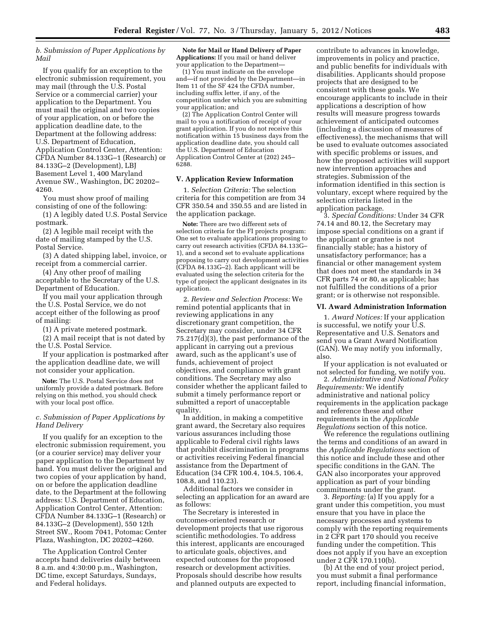# *b. Submission of Paper Applications by Mail*

If you qualify for an exception to the electronic submission requirement, you may mail (through the U.S. Postal Service or a commercial carrier) your application to the Department. You must mail the original and two copies of your application, on or before the application deadline date, to the Department at the following address: U.S. Department of Education, Application Control Center, Attention: CFDA Number 84.133G–1 (Research) or 84.133G–2 (Development), LBJ Basement Level 1, 400 Maryland Avenue SW., Washington, DC 20202– 4260.

You must show proof of mailing consisting of one of the following:

(1) A legibly dated U.S. Postal Service postmark.

(2) A legible mail receipt with the date of mailing stamped by the U.S. Postal Service.

(3) A dated shipping label, invoice, or receipt from a commercial carrier.

(4) Any other proof of mailing acceptable to the Secretary of the U.S. Department of Education.

If you mail your application through the U.S. Postal Service, we do not accept either of the following as proof of mailing:

(1) A private metered postmark.

(2) A mail receipt that is not dated by the U.S. Postal Service.

If your application is postmarked after the application deadline date, we will not consider your application.

**Note:** The U.S. Postal Service does not uniformly provide a dated postmark. Before relying on this method, you should check with your local post office.

# *c. Submission of Paper Applications by Hand Delivery*

If you qualify for an exception to the electronic submission requirement, you (or a courier service) may deliver your paper application to the Department by hand. You must deliver the original and two copies of your application by hand, on or before the application deadline date, to the Department at the following address: U.S. Department of Education, Application Control Center, Attention: CFDA Number 84.133G–1 (Research) or 84.133G–2 (Development), 550 12th Street SW., Room 7041, Potomac Center Plaza, Washington, DC 20202–4260.

The Application Control Center accepts hand deliveries daily between 8 a.m. and 4:30:00 p.m., Washington, DC time, except Saturdays, Sundays, and Federal holidays.

**Note for Mail or Hand Delivery of Paper Applications:** If you mail or hand deliver your application to the Department—

(1) You must indicate on the envelope and—if not provided by the Department—in Item 11 of the SF 424 the CFDA number, including suffix letter, if any, of the competition under which you are submitting your application; and

(2) The Application Control Center will mail to you a notification of receipt of your grant application. If you do not receive this notification within 15 business days from the application deadline date, you should call the U.S. Department of Education Application Control Center at (202) 245– 6288.

### **V. Application Review Information**

1. *Selection Criteria:* The selection criteria for this competition are from 34 CFR 350.54 and 350.55 and are listed in the application package.

**Note:** There are two different sets of selection criteria for the FI projects program: One set to evaluate applications proposing to carry out research activities (CFDA 84.133G– 1), and a second set to evaluate applications proposing to carry out development activities (CFDA 84.133G–2). Each applicant will be evaluated using the selection criteria for the type of project the applicant designates in its application.

2. *Review and Selection Process:* We remind potential applicants that in reviewing applications in any discretionary grant competition, the Secretary may consider, under 34 CFR 75.217(d)(3), the past performance of the applicant in carrying out a previous award, such as the applicant's use of funds, achievement of project objectives, and compliance with grant conditions. The Secretary may also consider whether the applicant failed to submit a timely performance report or submitted a report of unacceptable quality.

In addition, in making a competitive grant award, the Secretary also requires various assurances including those applicable to Federal civil rights laws that prohibit discrimination in programs or activities receiving Federal financial assistance from the Department of Education (34 CFR 100.4, 104.5, 106.4, 108.8, and 110.23).

Additional factors we consider in selecting an application for an award are as follows:

The Secretary is interested in outcomes-oriented research or development projects that use rigorous scientific methodologies. To address this interest, applicants are encouraged to articulate goals, objectives, and expected outcomes for the proposed research or development activities. Proposals should describe how results and planned outputs are expected to

contribute to advances in knowledge, improvements in policy and practice, and public benefits for individuals with disabilities. Applicants should propose projects that are designed to be consistent with these goals. We encourage applicants to include in their applications a description of how results will measure progress towards achievement of anticipated outcomes (including a discussion of measures of effectiveness), the mechanisms that will be used to evaluate outcomes associated with specific problems or issues, and how the proposed activities will support new intervention approaches and strategies. Submission of the information identified in this section is voluntary, except where required by the selection criteria listed in the application package.

3. *Special Conditions:* Under 34 CFR 74.14 and 80.12, the Secretary may impose special conditions on a grant if the applicant or grantee is not financially stable; has a history of unsatisfactory performance; has a financial or other management system that does not meet the standards in 34 CFR parts 74 or 80, as applicable; has not fulfilled the conditions of a prior grant; or is otherwise not responsible.

#### **VI. Award Administration Information**

1. *Award Notices:* If your application is successful, we notify your U.S. Representative and U.S. Senators and send you a Grant Award Notification (GAN). We may notify you informally, also.

If your application is not evaluated or not selected for funding, we notify you.

2. *Administrative and National Policy Requirements:* We identify administrative and national policy requirements in the application package and reference these and other requirements in the *Applicable Regulations* section of this notice.

We reference the regulations outlining the terms and conditions of an award in the *Applicable Regulations* section of this notice and include these and other specific conditions in the GAN. The GAN also incorporates your approved application as part of your binding commitments under the grant.

3. *Reporting:* (a) If you apply for a grant under this competition, you must ensure that you have in place the necessary processes and systems to comply with the reporting requirements in 2 CFR part 170 should you receive funding under the competition. This does not apply if you have an exception under 2 CFR 170.110(b).

(b) At the end of your project period, you must submit a final performance report, including financial information,